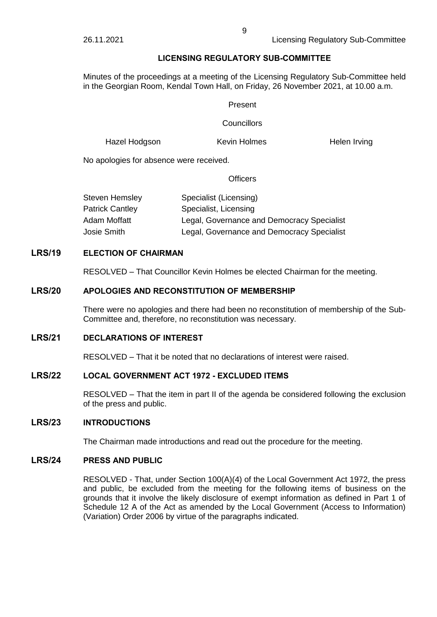# **LICENSING REGULATORY SUB-COMMITTEE**

Minutes of the proceedings at a meeting of the Licensing Regulatory Sub-Committee held in the Georgian Room, Kendal Town Hall, on Friday, 26 November 2021, at 10.00 a.m.

### Present

### **Councillors**

Hazel Hodgson **Kevin Holmes** Helen Irving

No apologies for absence were received.

### **Officers**

| <b>Steven Hemsley</b>  | Specialist (Licensing)                     |
|------------------------|--------------------------------------------|
| <b>Patrick Cantley</b> | Specialist, Licensing                      |
| Adam Moffatt           | Legal, Governance and Democracy Specialist |
| Josie Smith            | Legal, Governance and Democracy Specialist |

# **LRS/19 ELECTION OF CHAIRMAN**

RESOLVED – That Councillor Kevin Holmes be elected Chairman for the meeting.

# **LRS/20 APOLOGIES AND RECONSTITUTION OF MEMBERSHIP**

There were no apologies and there had been no reconstitution of membership of the Sub-Committee and, therefore, no reconstitution was necessary.

# **LRS/21 DECLARATIONS OF INTEREST**

RESOLVED – That it be noted that no declarations of interest were raised.

### **LRS/22 LOCAL GOVERNMENT ACT 1972 - EXCLUDED ITEMS**

RESOLVED – That the item in part II of the agenda be considered following the exclusion of the press and public.

### **LRS/23 INTRODUCTIONS**

The Chairman made introductions and read out the procedure for the meeting.

# **LRS/24 PRESS AND PUBLIC**

RESOLVED - That, under Section 100(A)(4) of the Local Government Act 1972, the press and public, be excluded from the meeting for the following items of business on the grounds that it involve the likely disclosure of exempt information as defined in Part 1 of Schedule 12 A of the Act as amended by the Local Government (Access to Information) (Variation) Order 2006 by virtue of the paragraphs indicated.